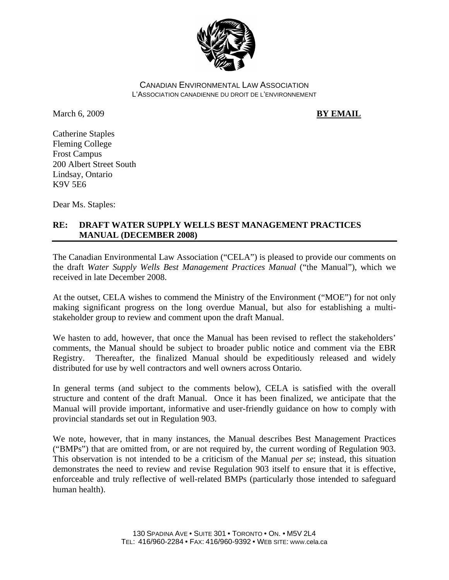

CANADIAN ENVIRONMENTAL LAW ASSOCIATION L'ASSOCIATION CANADIENNE DU DROIT DE L'ENVIRONNEMENT

March 6, 2009 **BY EMAIL** 

Catherine Staples Fleming College Frost Campus 200 Albert Street South Lindsay, Ontario K9V 5E6

Dear Ms. Staples:

## **RE: DRAFT WATER SUPPLY WELLS BEST MANAGEMENT PRACTICES MANUAL (DECEMBER 2008)**

The Canadian Environmental Law Association ("CELA") is pleased to provide our comments on the draft *Water Supply Wells Best Management Practices Manual* ("the Manual"), which we received in late December 2008.

At the outset, CELA wishes to commend the Ministry of the Environment ("MOE") for not only making significant progress on the long overdue Manual, but also for establishing a multistakeholder group to review and comment upon the draft Manual.

We hasten to add, however, that once the Manual has been revised to reflect the stakeholders' comments, the Manual should be subject to broader public notice and comment via the EBR Registry. Thereafter, the finalized Manual should be expeditiously released and widely distributed for use by well contractors and well owners across Ontario.

In general terms (and subject to the comments below), CELA is satisfied with the overall structure and content of the draft Manual. Once it has been finalized, we anticipate that the Manual will provide important, informative and user-friendly guidance on how to comply with provincial standards set out in Regulation 903.

We note, however, that in many instances, the Manual describes Best Management Practices ("BMPs") that are omitted from, or are not required by, the current wording of Regulation 903. This observation is not intended to be a criticism of the Manual *per se*; instead, this situation demonstrates the need to review and revise Regulation 903 itself to ensure that it is effective, enforceable and truly reflective of well-related BMPs (particularly those intended to safeguard human health).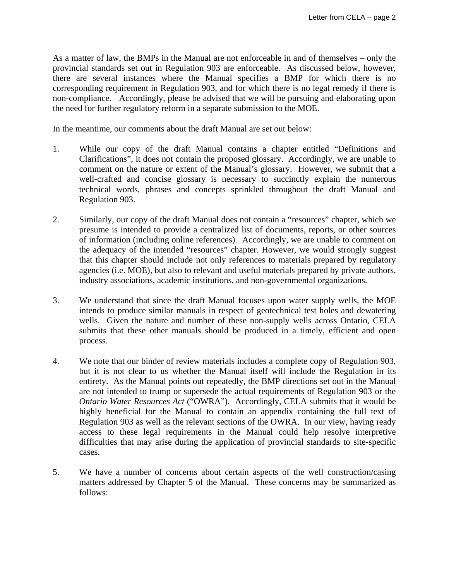As a matter of law, the BMPs in the Manual are not enforceable in and of themselves – only the provincial standards set out in Regulation 903 are enforceable. As discussed below, however, there are several instances where the Manual specifies a BMP for which there is no corresponding requirement in Regulation 903, and for which there is no legal remedy if there is non-compliance. Accordingly, please be advised that we will be pursuing and elaborating upon the need for further regulatory reform in a separate submission to the MOE.

In the meantime, our comments about the draft Manual are set out below:

- 1. While our copy of the draft Manual contains a chapter entitled "Definitions and Clarifications", it does not contain the proposed glossary. Accordingly, we are unable to comment on the nature or extent of the Manual's glossary. However, we submit that a well-crafted and concise glossary is necessary to succinctly explain the numerous technical words, phrases and concepts sprinkled throughout the draft Manual and Regulation 903.
- 2. Similarly, our copy of the draft Manual does not contain a "resources" chapter, which we presume is intended to provide a centralized list of documents, reports, or other sources of information (including online references). Accordingly, we are unable to comment on the adequacy of the intended "resources" chapter. However, we would strongly suggest that this chapter should include not only references to materials prepared by regulatory agencies (i.e. MOE), but also to relevant and useful materials prepared by private authors, industry associations, academic institutions, and non-governmental organizations.
- 3. We understand that since the draft Manual focuses upon water supply wells, the MOE intends to produce similar manuals in respect of geotechnical test holes and dewatering wells. Given the nature and number of these non-supply wells across Ontario, CELA submits that these other manuals should be produced in a timely, efficient and open process.
- 4. We note that our binder of review materials includes a complete copy of Regulation 903, but it is not clear to us whether the Manual itself will include the Regulation in its entirety. As the Manual points out repeatedly, the BMP directions set out in the Manual are not intended to trump or supersede the actual requirements of Regulation 903 or the *Ontario Water Resources Act* ("OWRA"). Accordingly, CELA submits that it would be highly beneficial for the Manual to contain an appendix containing the full text of Regulation 903 as well as the relevant sections of the OWRA. In our view, having ready access to these legal requirements in the Manual could help resolve interpretive difficulties that may arise during the application of provincial standards to site-specific cases.
- 5. We have a number of concerns about certain aspects of the well construction/casing matters addressed by Chapter 5 of the Manual. These concerns may be summarized as follows: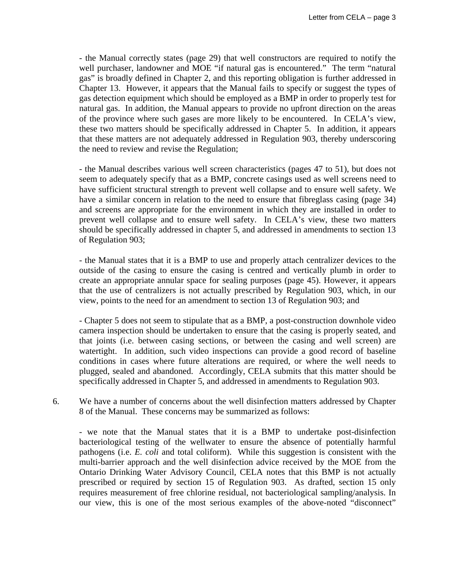- the Manual correctly states (page 29) that well constructors are required to notify the well purchaser, landowner and MOE "if natural gas is encountered." The term "natural gas" is broadly defined in Chapter 2, and this reporting obligation is further addressed in Chapter 13. However, it appears that the Manual fails to specify or suggest the types of gas detection equipment which should be employed as a BMP in order to properly test for natural gas. In addition, the Manual appears to provide no upfront direction on the areas of the province where such gases are more likely to be encountered. In CELA's view, these two matters should be specifically addressed in Chapter 5. In addition, it appears that these matters are not adequately addressed in Regulation 903, thereby underscoring the need to review and revise the Regulation;

 - the Manual describes various well screen characteristics (pages 47 to 51), but does not seem to adequately specify that as a BMP, concrete casings used as well screens need to have sufficient structural strength to prevent well collapse and to ensure well safety. We have a similar concern in relation to the need to ensure that fibreglass casing (page 34) and screens are appropriate for the environment in which they are installed in order to prevent well collapse and to ensure well safety. In CELA's view, these two matters should be specifically addressed in chapter 5, and addressed in amendments to section 13 of Regulation 903;

 - the Manual states that it is a BMP to use and properly attach centralizer devices to the outside of the casing to ensure the casing is centred and vertically plumb in order to create an appropriate annular space for sealing purposes (page 45). However, it appears that the use of centralizers is not actually prescribed by Regulation 903, which, in our view, points to the need for an amendment to section 13 of Regulation 903; and

 - Chapter 5 does not seem to stipulate that as a BMP, a post-construction downhole video camera inspection should be undertaken to ensure that the casing is properly seated, and that joints (i.e. between casing sections, or between the casing and well screen) are watertight. In addition, such video inspections can provide a good record of baseline conditions in cases where future alterations are required, or where the well needs to plugged, sealed and abandoned. Accordingly, CELA submits that this matter should be specifically addressed in Chapter 5, and addressed in amendments to Regulation 903.

6. We have a number of concerns about the well disinfection matters addressed by Chapter 8 of the Manual. These concerns may be summarized as follows:

 - we note that the Manual states that it is a BMP to undertake post-disinfection bacteriological testing of the wellwater to ensure the absence of potentially harmful pathogens (i.e. *E. coli* and total coliform). While this suggestion is consistent with the multi-barrier approach and the well disinfection advice received by the MOE from the Ontario Drinking Water Advisory Council, CELA notes that this BMP is not actually prescribed or required by section 15 of Regulation 903. As drafted, section 15 only requires measurement of free chlorine residual, not bacteriological sampling/analysis. In our view, this is one of the most serious examples of the above-noted "disconnect"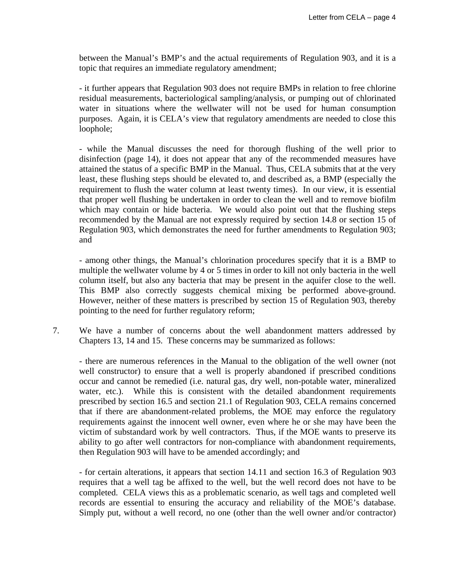between the Manual's BMP's and the actual requirements of Regulation 903, and it is a topic that requires an immediate regulatory amendment;

 - it further appears that Regulation 903 does not require BMPs in relation to free chlorine residual measurements, bacteriological sampling/analysis, or pumping out of chlorinated water in situations where the wellwater will not be used for human consumption purposes. Again, it is CELA's view that regulatory amendments are needed to close this loophole;

 - while the Manual discusses the need for thorough flushing of the well prior to disinfection (page 14), it does not appear that any of the recommended measures have attained the status of a specific BMP in the Manual. Thus, CELA submits that at the very least, these flushing steps should be elevated to, and described as, a BMP (especially the requirement to flush the water column at least twenty times). In our view, it is essential that proper well flushing be undertaken in order to clean the well and to remove biofilm which may contain or hide bacteria. We would also point out that the flushing steps recommended by the Manual are not expressly required by section 14.8 or section 15 of Regulation 903, which demonstrates the need for further amendments to Regulation 903; and

 - among other things, the Manual's chlorination procedures specify that it is a BMP to multiple the wellwater volume by 4 or 5 times in order to kill not only bacteria in the well column itself, but also any bacteria that may be present in the aquifer close to the well. This BMP also correctly suggests chemical mixing be performed above-ground. However, neither of these matters is prescribed by section 15 of Regulation 903, thereby pointing to the need for further regulatory reform;

7. We have a number of concerns about the well abandonment matters addressed by Chapters 13, 14 and 15. These concerns may be summarized as follows:

 - there are numerous references in the Manual to the obligation of the well owner (not well constructor) to ensure that a well is properly abandoned if prescribed conditions occur and cannot be remedied (i.e. natural gas, dry well, non-potable water, mineralized water, etc.). While this is consistent with the detailed abandonment requirements prescribed by section 16.5 and section 21.1 of Regulation 903, CELA remains concerned that if there are abandonment-related problems, the MOE may enforce the regulatory requirements against the innocent well owner, even where he or she may have been the victim of substandard work by well contractors. Thus, if the MOE wants to preserve its ability to go after well contractors for non-compliance with abandonment requirements, then Regulation 903 will have to be amended accordingly; and

 - for certain alterations, it appears that section 14.11 and section 16.3 of Regulation 903 requires that a well tag be affixed to the well, but the well record does not have to be completed. CELA views this as a problematic scenario, as well tags and completed well records are essential to ensuring the accuracy and reliability of the MOE's database. Simply put, without a well record, no one (other than the well owner and/or contractor)